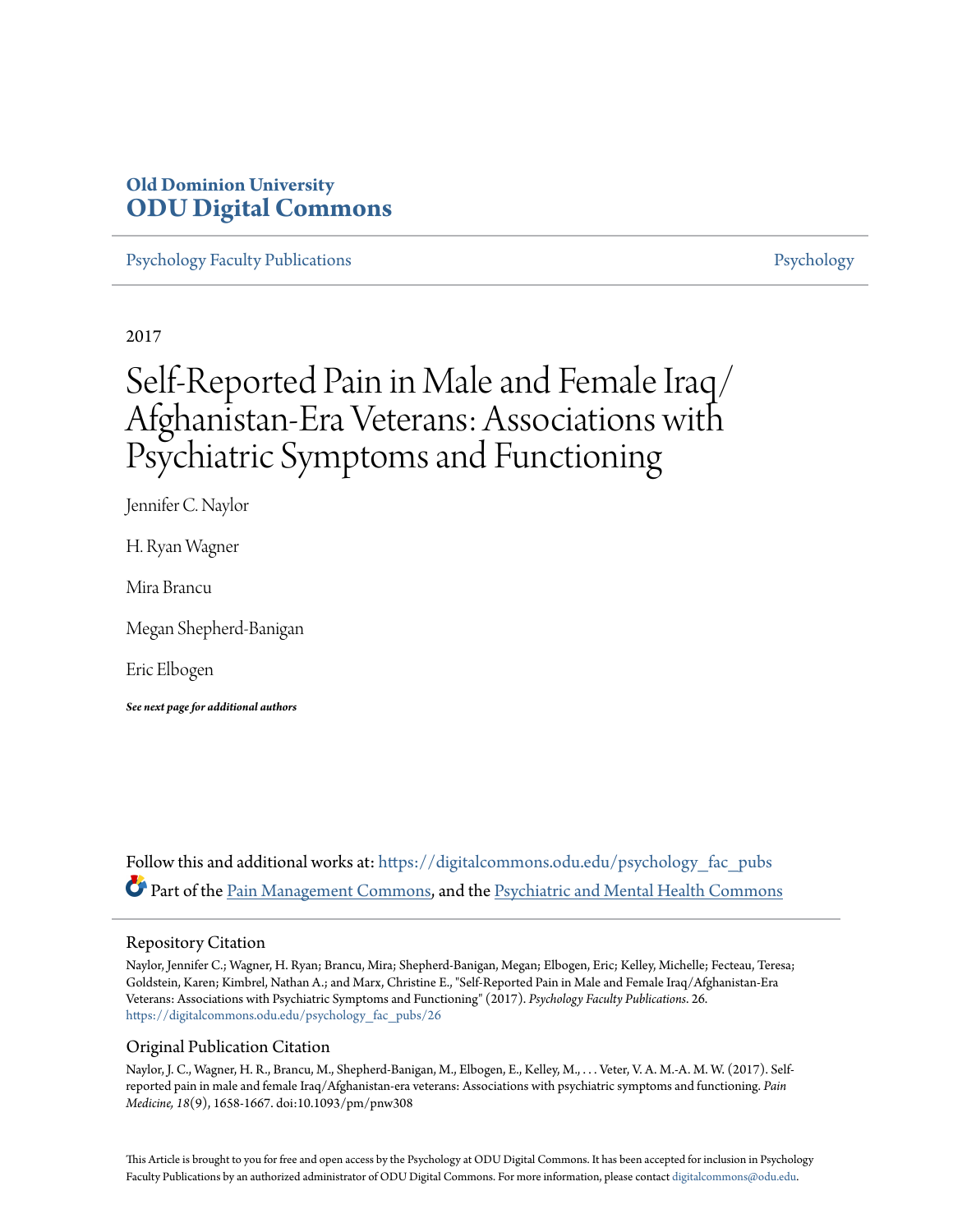### **Old Dominion University [ODU Digital Commons](https://digitalcommons.odu.edu?utm_source=digitalcommons.odu.edu%2Fpsychology_fac_pubs%2F26&utm_medium=PDF&utm_campaign=PDFCoverPages)**

[Psychology Faculty Publications](https://digitalcommons.odu.edu/psychology_fac_pubs?utm_source=digitalcommons.odu.edu%2Fpsychology_fac_pubs%2F26&utm_medium=PDF&utm_campaign=PDFCoverPages) **[Psychology](https://digitalcommons.odu.edu/psychology?utm_source=digitalcommons.odu.edu%2Fpsychology_fac_pubs%2F26&utm_medium=PDF&utm_campaign=PDFCoverPages)** Psychology

2017

# Self-Reported Pain in Male and Female Iraq/ Afghanistan-Era Veterans: Associations with Psychiatric Symptoms and Functioning

Jennifer C. Naylor

H. Ryan Wagner

Mira Brancu

Megan Shepherd-Banigan

Eric Elbogen

*See next page for additional authors*

Follow this and additional works at: [https://digitalcommons.odu.edu/psychology\\_fac\\_pubs](https://digitalcommons.odu.edu/psychology_fac_pubs?utm_source=digitalcommons.odu.edu%2Fpsychology_fac_pubs%2F26&utm_medium=PDF&utm_campaign=PDFCoverPages) Part of the [Pain Management Commons](http://network.bepress.com/hgg/discipline/1274?utm_source=digitalcommons.odu.edu%2Fpsychology_fac_pubs%2F26&utm_medium=PDF&utm_campaign=PDFCoverPages), and the [Psychiatric and Mental Health Commons](http://network.bepress.com/hgg/discipline/711?utm_source=digitalcommons.odu.edu%2Fpsychology_fac_pubs%2F26&utm_medium=PDF&utm_campaign=PDFCoverPages)

#### Repository Citation

Naylor, Jennifer C.; Wagner, H. Ryan; Brancu, Mira; Shepherd-Banigan, Megan; Elbogen, Eric; Kelley, Michelle; Fecteau, Teresa; Goldstein, Karen; Kimbrel, Nathan A.; and Marx, Christine E., "Self-Reported Pain in Male and Female Iraq/Afghanistan-Era Veterans: Associations with Psychiatric Symptoms and Functioning" (2017). *Psychology Faculty Publications*. 26. [https://digitalcommons.odu.edu/psychology\\_fac\\_pubs/26](https://digitalcommons.odu.edu/psychology_fac_pubs/26?utm_source=digitalcommons.odu.edu%2Fpsychology_fac_pubs%2F26&utm_medium=PDF&utm_campaign=PDFCoverPages)

#### Original Publication Citation

Naylor, J. C., Wagner, H. R., Brancu, M., Shepherd-Banigan, M., Elbogen, E., Kelley, M., . . . Veter, V. A. M.-A. M. W. (2017). Selfreported pain in male and female Iraq/Afghanistan-era veterans: Associations with psychiatric symptoms and functioning. *Pain Medicine, 18*(9), 1658-1667. doi:10.1093/pm/pnw308

This Article is brought to you for free and open access by the Psychology at ODU Digital Commons. It has been accepted for inclusion in Psychology Faculty Publications by an authorized administrator of ODU Digital Commons. For more information, please contact [digitalcommons@odu.edu.](mailto:digitalcommons@odu.edu)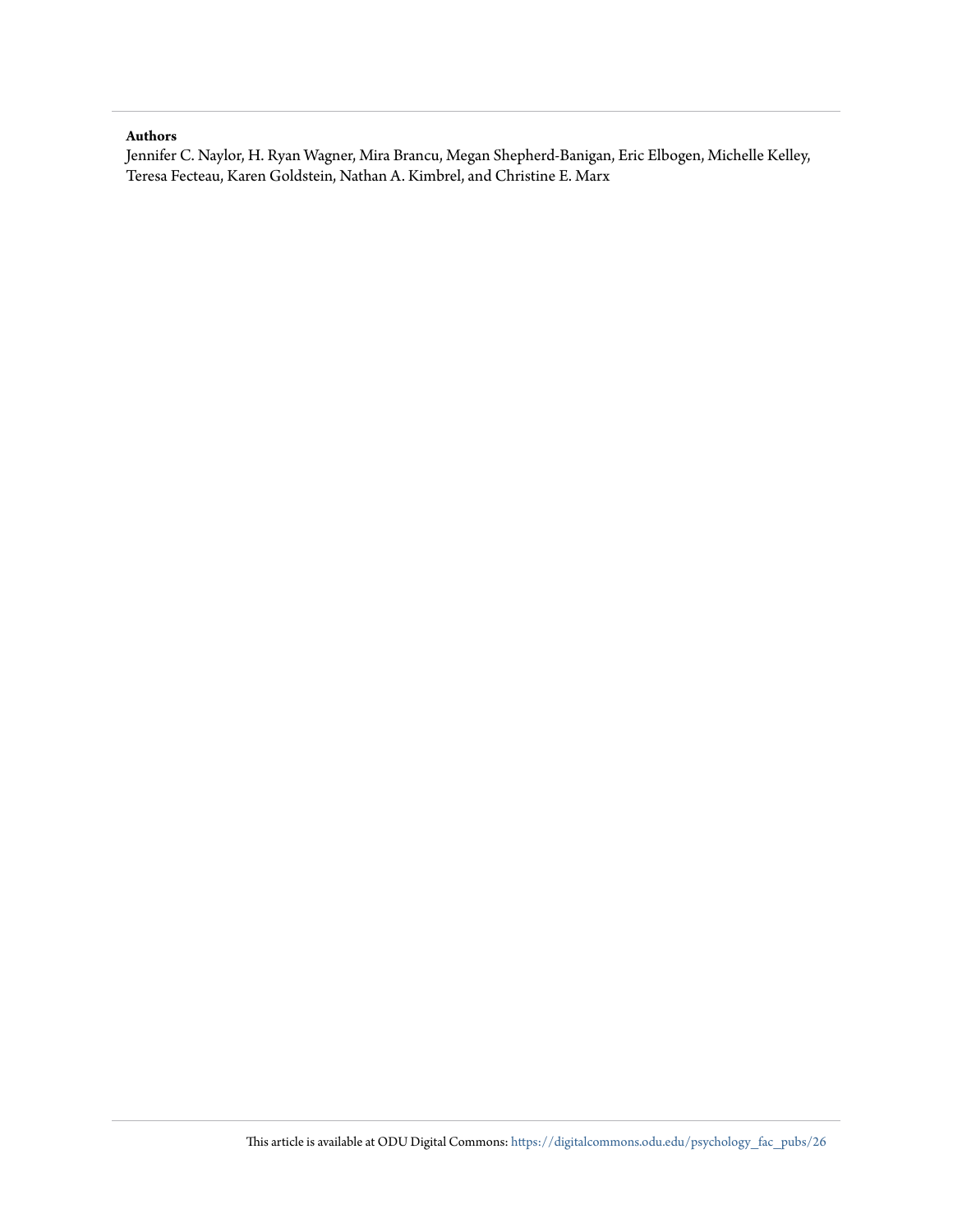#### **Authors**

Jennifer C. Naylor, H. Ryan Wagner, Mira Brancu, Megan Shepherd-Banigan, Eric Elbogen, Michelle Kelley, Teresa Fecteau, Karen Goldstein, Nathan A. Kimbrel, and Christine E. Marx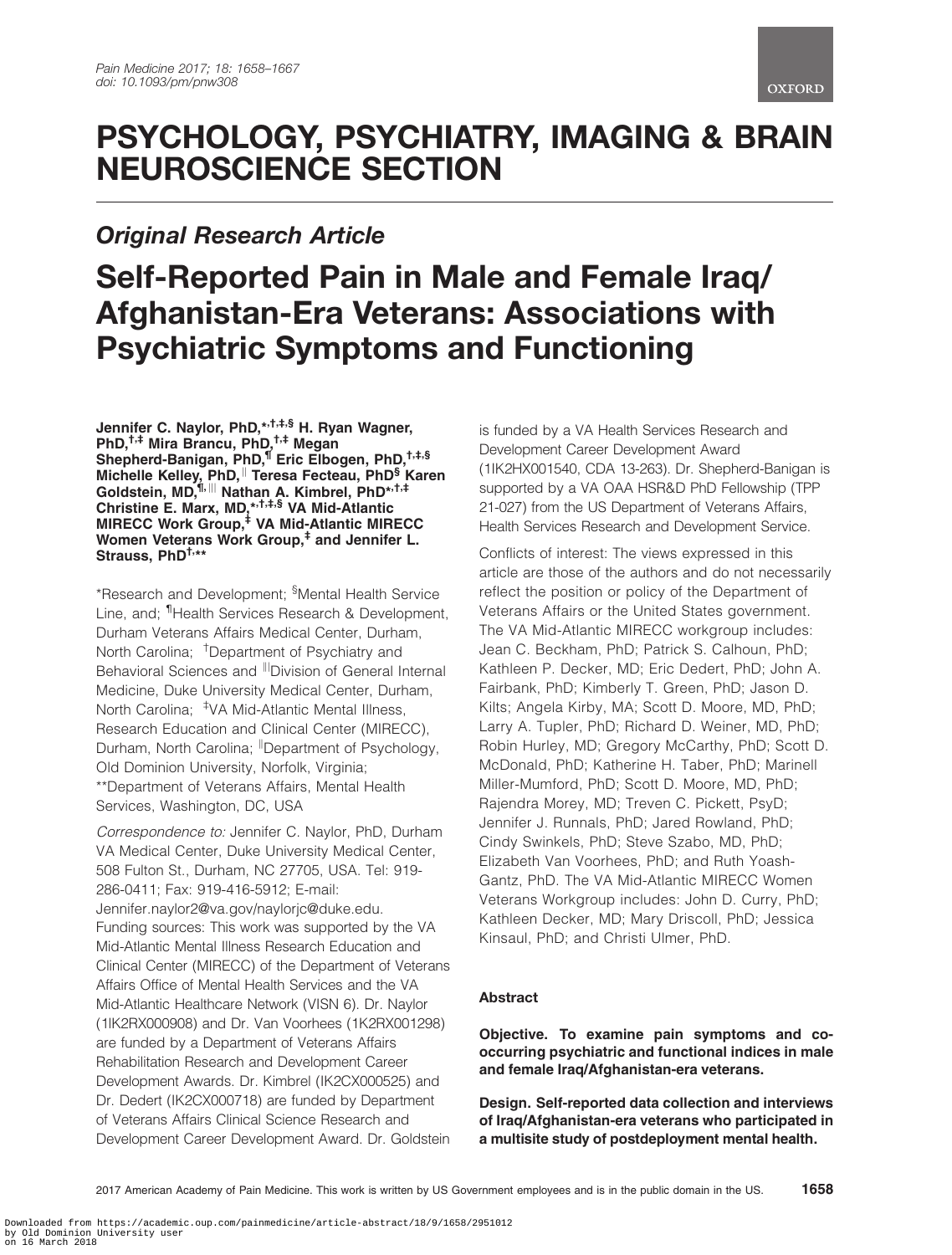

## PSYCHOLOGY, PSYCHIATRY, IMAGING & BRAIN NEUROSCIENCE SECTION

### Original Research Article

## Self-Reported Pain in Male and Female Iraq/ Afghanistan-Era Veterans: Associations with Psychiatric Symptoms and Functioning

Jennifer C. Naylor, PhD,\*,<sup>†,‡,§</sup> H. Ryan Wagner, PhD,†,‡ Mira Brancu, PhD,†,‡ Megan Shepherd-Banigan, PhD,<sup>¶</sup> Eric Elbogen, PhD, <sup>†,‡,§</sup> Michelle Kelley, PhD, Teresa Fecteau, PhD<sup>§</sup> Karen Goldstein, MD,<sup>fi, ||</sup> Nathan A. Kimbrel, PhD\*<sup>,†,‡</sup> Christine E. Marx, MD,\*,†,‡,§ VA Mid-Atlantic MIRECC Work Group,‡ VA Mid-Atlantic MIRECC Women Veterans Work Group,<sup>‡</sup> and Jennifer L. Strauss, PhD†,\*\*

\*Research and Development; <sup>§</sup>Mental Health Service Line, and; ¶ Health Services Research & Development, Durham Veterans Affairs Medical Center, Durham, North Carolina; <sup>†</sup>Department of Psychiatry and Behavioral Sciences and <sup>III</sup> Division of General Internal Medicine, Duke University Medical Center, Durham, North Carolina; <sup>‡</sup>VA Mid-Atlantic Mental Illness, Research Education and Clinical Center (MIRECC), Durham, North Carolina; <sup>II</sup> Department of Psychology, Old Dominion University, Norfolk, Virginia; \*\*Department of Veterans Affairs, Mental Health Services, Washington, DC, USA

Correspondence to: Jennifer C. Naylor, PhD, Durham VA Medical Center, Duke University Medical Center, 508 Fulton St., Durham, NC 27705, USA. Tel: 919- 286-0411; Fax: 919-416-5912; E-mail: Jennifer.naylor2@va.gov/naylorjc@duke.edu. Funding sources: This work was supported by the VA Mid-Atlantic Mental Illness Research Education and Clinical Center (MIRECC) of the Department of Veterans Affairs Office of Mental Health Services and the VA Mid-Atlantic Healthcare Network (VISN 6). Dr. Naylor (1lK2RX000908) and Dr. Van Voorhees (1K2RX001298) are funded by a Department of Veterans Affairs Rehabilitation Research and Development Career Development Awards. Dr. Kimbrel (IK2CX000525) and Dr. Dedert (IK2CX000718) are funded by Department of Veterans Affairs Clinical Science Research and Development Career Development Award. Dr. Goldstein is funded by a VA Health Services Research and Development Career Development Award (1IK2HX001540, CDA 13-263). Dr. Shepherd-Banigan is supported by a VA OAA HSR&D PhD Fellowship (TPP 21-027) from the US Department of Veterans Affairs, Health Services Research and Development Service.

Conflicts of interest: The views expressed in this article are those of the authors and do not necessarily reflect the position or policy of the Department of Veterans Affairs or the United States government. The VA Mid-Atlantic MIRECC workgroup includes: Jean C. Beckham, PhD; Patrick S. Calhoun, PhD; Kathleen P. Decker, MD; Eric Dedert, PhD; John A. Fairbank, PhD; Kimberly T. Green, PhD; Jason D. Kilts; Angela Kirby, MA; Scott D. Moore, MD, PhD; Larry A. Tupler, PhD; Richard D. Weiner, MD, PhD; Robin Hurley, MD; Gregory McCarthy, PhD; Scott D. McDonald, PhD; Katherine H. Taber, PhD; Marinell Miller-Mumford, PhD; Scott D. Moore, MD, PhD; Rajendra Morey, MD; Treven C. Pickett, PsyD; Jennifer J. Runnals, PhD; Jared Rowland, PhD; Cindy Swinkels, PhD; Steve Szabo, MD, PhD; Elizabeth Van Voorhees, PhD; and Ruth Yoash-Gantz, PhD. The VA Mid-Atlantic MIRECC Women Veterans Workgroup includes: John D. Curry, PhD; Kathleen Decker, MD; Mary Driscoll, PhD; Jessica Kinsaul, PhD; and Christi Ulmer, PhD.

#### **Abstract**

Objective. To examine pain symptoms and cooccurring psychiatric and functional indices in male and female Iraq/Afghanistan-era veterans.

Design. Self-reported data collection and interviews of Iraq/Afghanistan-era veterans who participated in a multisite study of postdeployment mental health.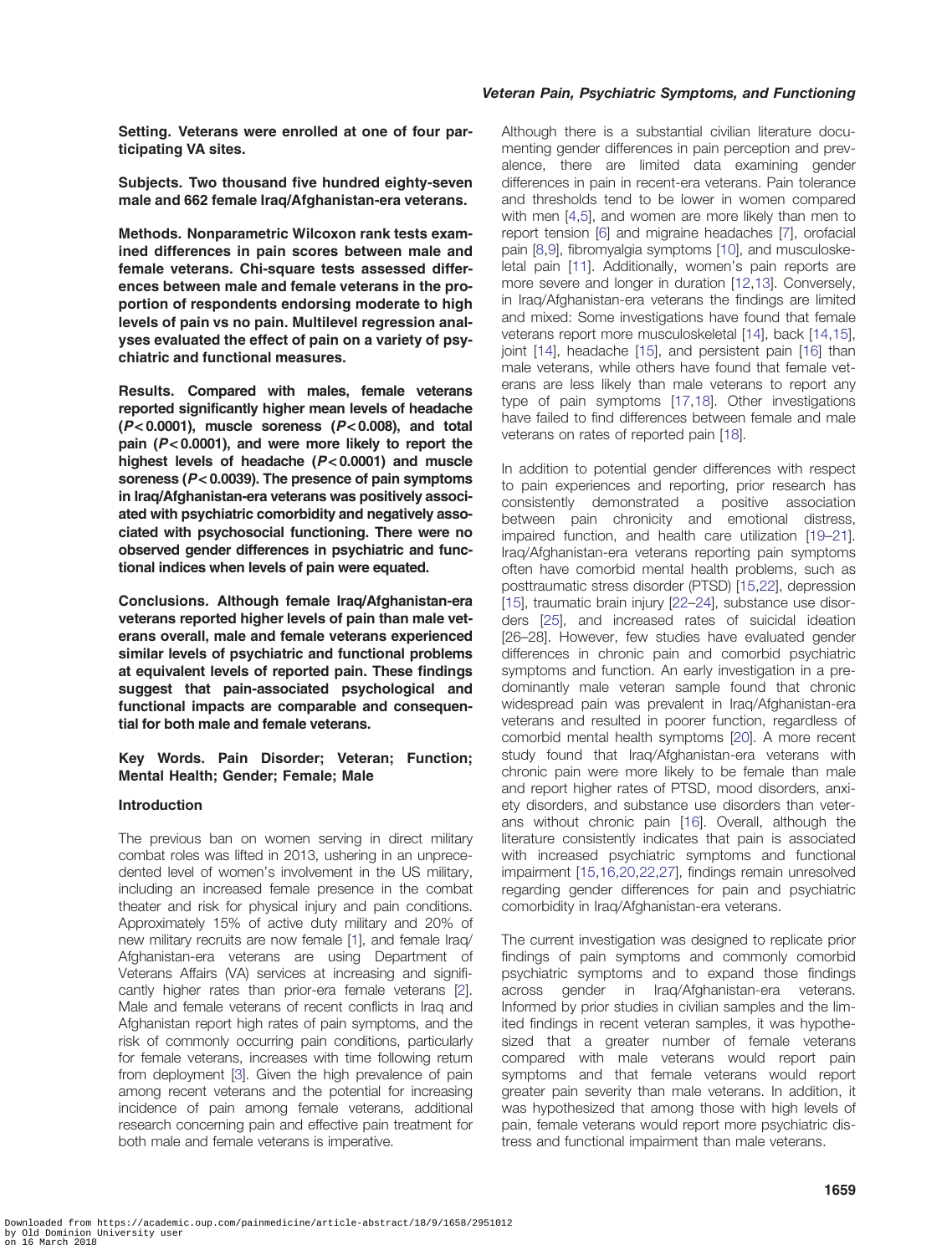#### Veteran Pain, Psychiatric Symptoms, and Functioning

Setting. Veterans were enrolled at one of four participating VA sites.

Subjects. Two thousand five hundred eighty-seven male and 662 female Iraq/Afghanistan-era veterans.

Methods. Nonparametric Wilcoxon rank tests examined differences in pain scores between male and female veterans. Chi-square tests assessed differences between male and female veterans in the proportion of respondents endorsing moderate to high levels of pain vs no pain. Multilevel regression analyses evaluated the effect of pain on a variety of psychiatric and functional measures.

Results. Compared with males, female veterans reported significantly higher mean levels of headache  $(P< 0.0001)$ , muscle soreness  $(P< 0.008)$ , and total pain (P< 0.0001), and were more likely to report the highest levels of headache  $(P< 0.0001)$  and muscle soreness (P< 0.0039). The presence of pain symptoms in Iraq/Afghanistan-era veterans was positively associated with psychiatric comorbidity and negatively associated with psychosocial functioning. There were no observed gender differences in psychiatric and functional indices when levels of pain were equated.

Conclusions. Although female Iraq/Afghanistan-era veterans reported higher levels of pain than male veterans overall, male and female veterans experienced similar levels of psychiatric and functional problems at equivalent levels of reported pain. These findings suggest that pain-associated psychological and functional impacts are comparable and consequential for both male and female veterans.

#### Key Words. Pain Disorder; Veteran; Function; Mental Health; Gender; Female; Male

#### Introduction

The previous ban on women serving in direct military combat roles was lifted in 2013, ushering in an unprecedented level of women's involvement in the US military, including an increased female presence in the combat theater and risk for physical injury and pain conditions. Approximately 15% of active duty military and 20% of new military recruits are now female [\[1\]](#page-9-0), and female Iraq/ Afghanistan-era veterans are using Department of Veterans Affairs (VA) services at increasing and significantly higher rates than prior-era female veterans [[2](#page-9-0)]. Male and female veterans of recent conflicts in Iraq and Afghanistan report high rates of pain symptoms, and the risk of commonly occurring pain conditions, particularly for female veterans, increases with time following return from deployment [\[3](#page-9-0)]. Given the high prevalence of pain among recent veterans and the potential for increasing incidence of pain among female veterans, additional research concerning pain and effective pain treatment for both male and female veterans is imperative.

Although there is a substantial civilian literature documenting gender differences in pain perception and prevalence, there are limited data examining gender differences in pain in recent-era veterans. Pain tolerance and thresholds tend to be lower in women compared with men [[4,5](#page-9-0)], and women are more likely than men to report tension [[6\]](#page-9-0) and migraine headaches [\[7](#page-9-0)], orofacial pain [\[8](#page-9-0),[9\]](#page-9-0), fibromyalgia symptoms [\[10](#page-9-0)], and musculoskeletal pain [[11\]](#page-9-0). Additionally, women's pain reports are more severe and longer in duration [\[12](#page-9-0),[13\]](#page-9-0). Conversely, in Iraq/Afghanistan-era veterans the findings are limited and mixed: Some investigations have found that female veterans report more musculoskeletal [[14\]](#page-9-0), back [[14,15](#page-9-0)], joint [\[14](#page-9-0)], headache [\[15](#page-9-0)], and persistent pain [[16\]](#page-9-0) than male veterans, while others have found that female veterans are less likely than male veterans to report any type of pain symptoms [[17,18](#page-9-0)]. Other investigations have failed to find differences between female and male veterans on rates of reported pain [\[18](#page-9-0)].

In addition to potential gender differences with respect to pain experiences and reporting, prior research has consistently demonstrated a positive association between pain chronicity and emotional distress, impaired function, and health care utilization [[19](#page-9-0)[–21](#page-10-0)]. Iraq/Afghanistan-era veterans reporting pain symptoms often have comorbid mental health problems, such as posttraumatic stress disorder (PTSD) [\[15](#page-9-0),[22\]](#page-10-0), depression [\[15](#page-9-0)], traumatic brain injury [\[22](#page-10-0)–[24\]](#page-10-0), substance use disorders [\[25](#page-10-0)], and increased rates of suicidal ideation [26–28]. However, few studies have evaluated gender differences in chronic pain and comorbid psychiatric symptoms and function. An early investigation in a predominantly male veteran sample found that chronic widespread pain was prevalent in Iraq/Afghanistan-era veterans and resulted in poorer function, regardless of comorbid mental health symptoms [[20\]](#page-9-0). A more recent study found that Iraq/Afghanistan-era veterans with chronic pain were more likely to be female than male and report higher rates of PTSD, mood disorders, anxiety disorders, and substance use disorders than veterans without chronic pain [[16\]](#page-9-0). Overall, although the literature consistently indicates that pain is associated with increased psychiatric symptoms and functional impairment [[15,16,20](#page-9-0),[22,27](#page-10-0)], findings remain unresolved regarding gender differences for pain and psychiatric comorbidity in Iraq/Afghanistan-era veterans.

The current investigation was designed to replicate prior findings of pain symptoms and commonly comorbid psychiatric symptoms and to expand those findings across gender in Iraq/Afghanistan-era veterans. Informed by prior studies in civilian samples and the limited findings in recent veteran samples, it was hypothesized that a greater number of female veterans compared with male veterans would report pain symptoms and that female veterans would report greater pain severity than male veterans. In addition, it was hypothesized that among those with high levels of pain, female veterans would report more psychiatric distress and functional impairment than male veterans.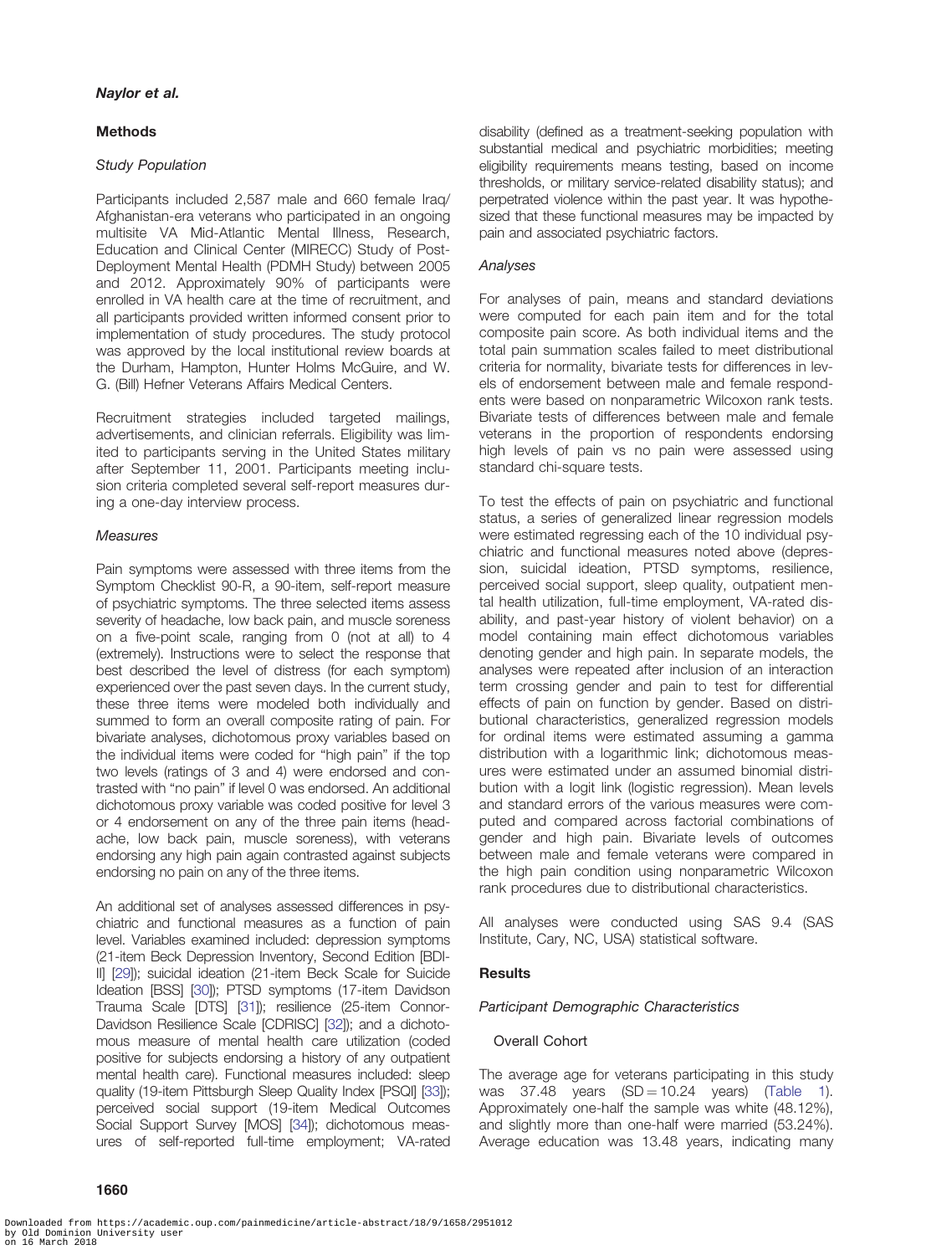#### **Methods**

#### Study Population

Participants included 2,587 male and 660 female Iraq/ Afghanistan-era veterans who participated in an ongoing multisite VA Mid-Atlantic Mental Illness, Research, Education and Clinical Center (MIRECC) Study of Post-Deployment Mental Health (PDMH Study) between 2005 and 2012. Approximately 90% of participants were enrolled in VA health care at the time of recruitment, and all participants provided written informed consent prior to implementation of study procedures. The study protocol was approved by the local institutional review boards at the Durham, Hampton, Hunter Holms McGuire, and W. G. (Bill) Hefner Veterans Affairs Medical Centers.

Recruitment strategies included targeted mailings, advertisements, and clinician referrals. Eligibility was limited to participants serving in the United States military after September 11, 2001. Participants meeting inclusion criteria completed several self-report measures during a one-day interview process.

#### **Measures**

Pain symptoms were assessed with three items from the Symptom Checklist 90-R, a 90-item, self-report measure of psychiatric symptoms. The three selected items assess severity of headache, low back pain, and muscle soreness on a five-point scale, ranging from 0 (not at all) to 4 (extremely). Instructions were to select the response that best described the level of distress (for each symptom) experienced over the past seven days. In the current study, these three items were modeled both individually and summed to form an overall composite rating of pain. For bivariate analyses, dichotomous proxy variables based on the individual items were coded for "high pain" if the top two levels (ratings of 3 and 4) were endorsed and contrasted with "no pain" if level 0 was endorsed. An additional dichotomous proxy variable was coded positive for level 3 or 4 endorsement on any of the three pain items (headache, low back pain, muscle soreness), with veterans endorsing any high pain again contrasted against subjects endorsing no pain on any of the three items.

An additional set of analyses assessed differences in psychiatric and functional measures as a function of pain level. Variables examined included: depression symptoms (21-item Beck Depression Inventory, Second Edition [BDI-II] [[29](#page-10-0)]); suicidal ideation (21-item Beck Scale for Suicide Ideation [BSS] [\[30\]](#page-10-0)); PTSD symptoms (17-item Davidson Trauma Scale [DTS] [\[31\]](#page-10-0)); resilience (25-item Connor-Davidson Resilience Scale [CDRISC] [\[32\]](#page-10-0)); and a dichotomous measure of mental health care utilization (coded positive for subjects endorsing a history of any outpatient mental health care). Functional measures included: sleep quality (19-item Pittsburgh Sleep Quality Index [PSQI] [\[33](#page-10-0)]); perceived social support (19-item Medical Outcomes Social Support Survey [MOS] [[34](#page-10-0)]); dichotomous measures of self-reported full-time employment; VA-rated

disability (defined as a treatment-seeking population with substantial medical and psychiatric morbidities; meeting eligibility requirements means testing, based on income thresholds, or military service-related disability status); and perpetrated violence within the past year. It was hypothesized that these functional measures may be impacted by pain and associated psychiatric factors.

#### Analyses

For analyses of pain, means and standard deviations were computed for each pain item and for the total composite pain score. As both individual items and the total pain summation scales failed to meet distributional criteria for normality, bivariate tests for differences in levels of endorsement between male and female respondents were based on nonparametric Wilcoxon rank tests. Bivariate tests of differences between male and female veterans in the proportion of respondents endorsing high levels of pain vs no pain were assessed using standard chi-square tests.

To test the effects of pain on psychiatric and functional status, a series of generalized linear regression models were estimated regressing each of the 10 individual psychiatric and functional measures noted above (depression, suicidal ideation, PTSD symptoms, resilience, perceived social support, sleep quality, outpatient mental health utilization, full-time employment, VA-rated disability, and past-year history of violent behavior) on a model containing main effect dichotomous variables denoting gender and high pain. In separate models, the analyses were repeated after inclusion of an interaction term crossing gender and pain to test for differential effects of pain on function by gender. Based on distributional characteristics, generalized regression models for ordinal items were estimated assuming a gamma distribution with a logarithmic link; dichotomous measures were estimated under an assumed binomial distribution with a logit link (logistic regression). Mean levels and standard errors of the various measures were computed and compared across factorial combinations of gender and high pain. Bivariate levels of outcomes between male and female veterans were compared in the high pain condition using nonparametric Wilcoxon rank procedures due to distributional characteristics.

All analyses were conducted using SAS 9.4 (SAS Institute, Cary, NC, USA) statistical software.

#### Results

#### Participant Demographic Characteristics

#### Overall Cohort

The average age for veterans participating in this study was  $37.48$  years  $(SD = 10.24$  years) [\(Table 1](#page-5-0)). Approximately one-half the sample was white (48.12%), and slightly more than one-half were married (53.24%). Average education was 13.48 years, indicating many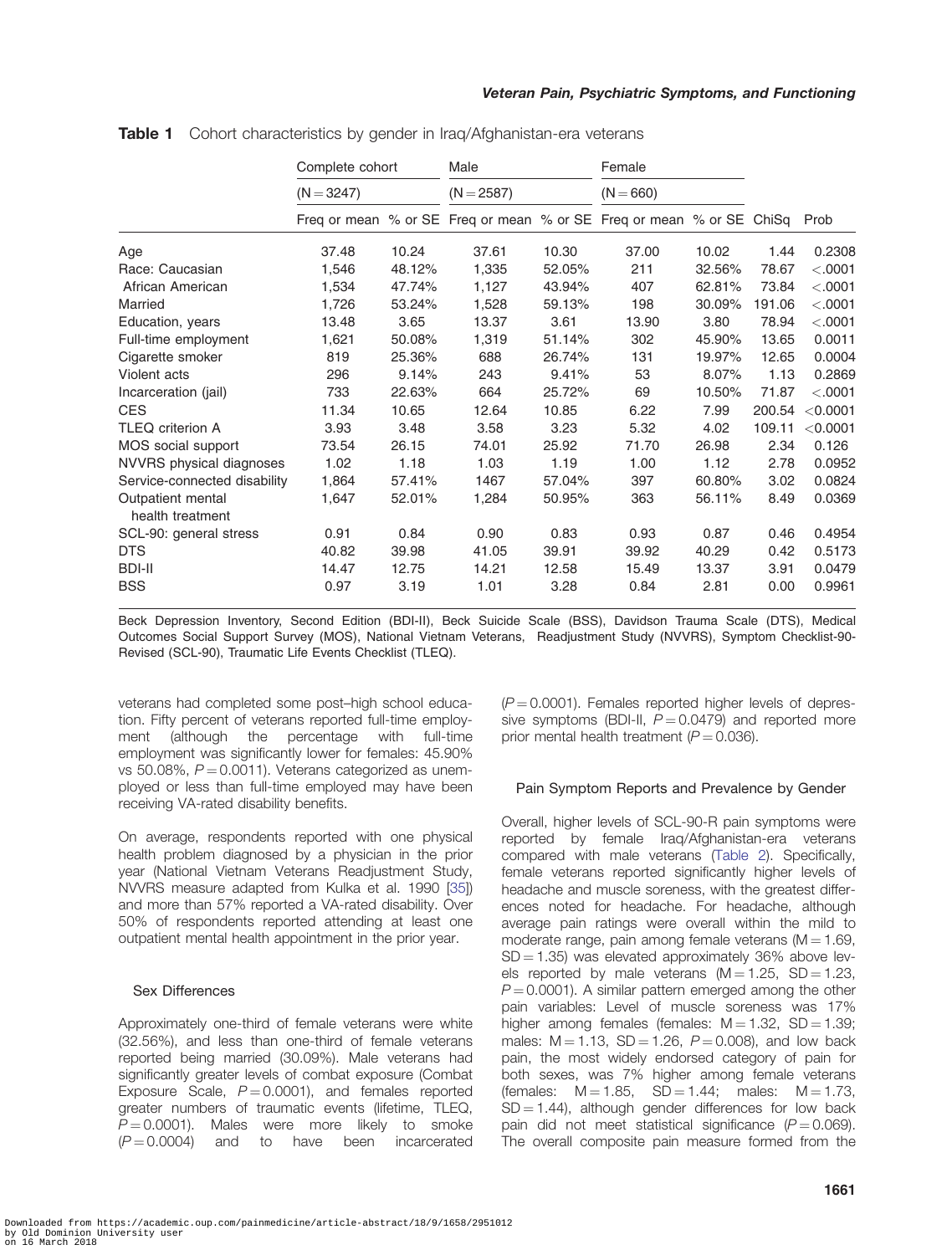|                                       | Complete cohort |        | Male         |        | Female                                                         |        |        |          |
|---------------------------------------|-----------------|--------|--------------|--------|----------------------------------------------------------------|--------|--------|----------|
|                                       | $(N = 3247)$    |        | $(N = 2587)$ |        | $(N = 660)$                                                    |        |        |          |
|                                       |                 |        |              |        | Freq or mean % or SE Freq or mean % or SE Freq or mean % or SE |        | ChiSq  | Prob     |
| Age                                   | 37.48           | 10.24  | 37.61        | 10.30  | 37.00                                                          | 10.02  | 1.44   | 0.2308   |
| Race: Caucasian                       | 1,546           | 48.12% | 1,335        | 52.05% | 211                                                            | 32.56% | 78.67  | < .0001  |
| African American                      | 1,534           | 47.74% | 1,127        | 43.94% | 407                                                            | 62.81% | 73.84  | < .0001  |
| Married                               | 1,726           | 53.24% | 1,528        | 59.13% | 198                                                            | 30.09% | 191.06 | < .0001  |
| Education, years                      | 13.48           | 3.65   | 13.37        | 3.61   | 13.90                                                          | 3.80   | 78.94  | < .0001  |
| Full-time employment                  | 1,621           | 50.08% | 1,319        | 51.14% | 302                                                            | 45.90% | 13.65  | 0.0011   |
| Cigarette smoker                      | 819             | 25.36% | 688          | 26.74% | 131                                                            | 19.97% | 12.65  | 0.0004   |
| Violent acts                          | 296             | 9.14%  | 243          | 9.41%  | 53                                                             | 8.07%  | 1.13   | 0.2869   |
| Incarceration (jail)                  | 733             | 22.63% | 664          | 25.72% | 69                                                             | 10.50% | 71.87  | < .0001  |
| <b>CES</b>                            | 11.34           | 10.65  | 12.64        | 10.85  | 6.22                                                           | 7.99   | 200.54 | < 0.0001 |
| TLEQ criterion A                      | 3.93            | 3.48   | 3.58         | 3.23   | 5.32                                                           | 4.02   | 109.11 | < 0.0001 |
| MOS social support                    | 73.54           | 26.15  | 74.01        | 25.92  | 71.70                                                          | 26.98  | 2.34   | 0.126    |
| NVVRS physical diagnoses              | 1.02            | 1.18   | 1.03         | 1.19   | 1.00                                                           | 1.12   | 2.78   | 0.0952   |
| Service-connected disability          | 1,864           | 57.41% | 1467         | 57.04% | 397                                                            | 60.80% | 3.02   | 0.0824   |
| Outpatient mental<br>health treatment | 1,647           | 52.01% | 1,284        | 50.95% | 363                                                            | 56.11% | 8.49   | 0.0369   |
| SCL-90: general stress                | 0.91            | 0.84   | 0.90         | 0.83   | 0.93                                                           | 0.87   | 0.46   | 0.4954   |
| <b>DTS</b>                            | 40.82           | 39.98  | 41.05        | 39.91  | 39.92                                                          | 40.29  | 0.42   | 0.5173   |
| BDI-II                                | 14.47           | 12.75  | 14.21        | 12.58  | 15.49                                                          | 13.37  | 3.91   | 0.0479   |
| <b>BSS</b>                            | 0.97            | 3.19   | 1.01         | 3.28   | 0.84                                                           | 2.81   | 0.00   | 0.9961   |

<span id="page-5-0"></span>**Table 1** Cohort characteristics by gender in Iraq/Afghanistan-era veterans

Beck Depression Inventory, Second Edition (BDI-II), Beck Suicide Scale (BSS), Davidson Trauma Scale (DTS), Medical Outcomes Social Support Survey (MOS), National Vietnam Veterans, Readjustment Study (NVVRS), Symptom Checklist-90- Revised (SCL-90), Traumatic Life Events Checklist (TLEQ).

veterans had completed some post–high school education. Fifty percent of veterans reported full-time employment (although the percentage with full-time employment was significantly lower for females: 45.90% vs 50.08%,  $P = 0.0011$ ). Veterans categorized as unemployed or less than full-time employed may have been receiving VA-rated disability benefits.

On average, respondents reported with one physical health problem diagnosed by a physician in the prior year (National Vietnam Veterans Readjustment Study, NVVRS measure adapted from Kulka et al. 1990 [[35\]](#page-10-0)) and more than 57% reported a VA-rated disability. Over 50% of respondents reported attending at least one outpatient mental health appointment in the prior year.

#### Sex Differences

Approximately one-third of female veterans were white (32.56%), and less than one-third of female veterans reported being married (30.09%). Male veterans had significantly greater levels of combat exposure (Combat Exposure Scale,  $P = 0.0001$ , and females reported greater numbers of traumatic events (lifetime, TLEQ,  $P = 0.0001$ ). Males were more likely to smoke<br> $(P = 0.0004)$  and to have been incarcerated  $(P = 0.0004)$  and to

 $(P = 0.0001)$ . Females reported higher levels of depressive symptoms (BDI-II,  $P = 0.0479$ ) and reported more prior mental health treatment ( $P = 0.036$ ).

#### Pain Symptom Reports and Prevalence by Gender

Overall, higher levels of SCL-90-R pain symptoms were reported by female Iraq/Afghanistan-era veterans compared with male veterans ([Table 2](#page-6-0)). Specifically, female veterans reported significantly higher levels of headache and muscle soreness, with the greatest differences noted for headache. For headache, although average pain ratings were overall within the mild to moderate range, pain among female veterans ( $M = 1.69$ ,  $SD = 1.35$ ) was elevated approximately 36% above levels reported by male veterans  $(M = 1.25, SD = 1.23,$  $P = 0.0001$ ). A similar pattern emerged among the other pain variables: Level of muscle soreness was 17% higher among females (females:  $M = 1.32$ ,  $SD = 1.39$ ; males:  $M = 1.13$ ,  $SD = 1.26$ ,  $P = 0.008$ ), and low back pain, the most widely endorsed category of pain for both sexes, was 7% higher among female veterans (females:  $M = 1.85$ ,  $SD = 1.44$ ; males:  $M = 1.73$ ,  $SD = 1.44$ ), although gender differences for low back pain did not meet statistical significance  $(P = 0.069)$ . The overall composite pain measure formed from the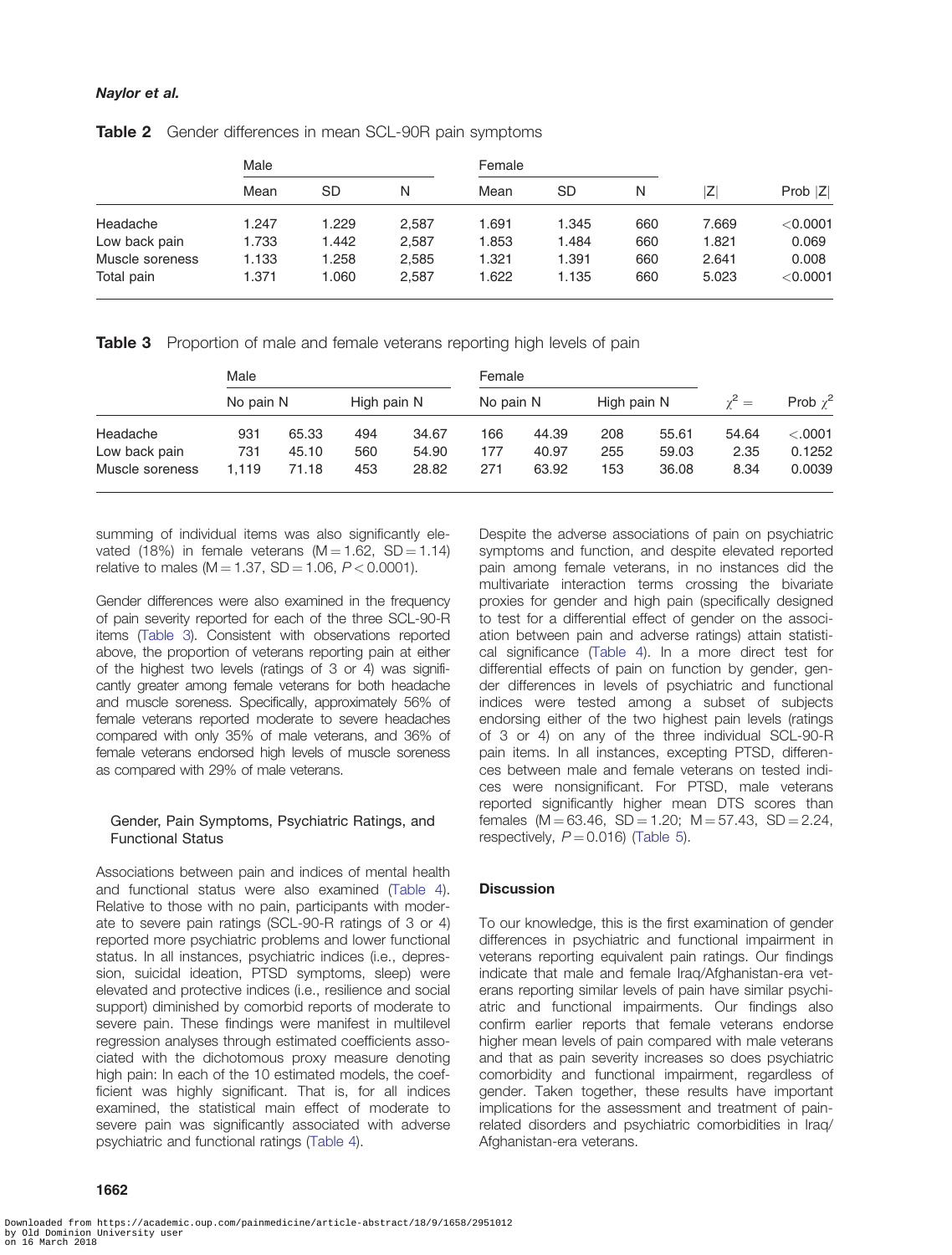|                 | Male  |           |       | Female |       |     |       |            |
|-----------------|-------|-----------|-------|--------|-------|-----|-------|------------|
|                 | Mean  | <b>SD</b> | N     | Mean   | SD    | N   | Ζ     | Prob $ Z $ |
| Headache        | 1.247 | 1.229     | 2.587 | 1.691  | 1.345 | 660 | 7.669 | < 0.0001   |
| Low back pain   | 1.733 | 1.442     | 2.587 | 1.853  | 1.484 | 660 | 1.821 | 0.069      |
| Muscle soreness | 1.133 | 1.258     | 2.585 | 1.321  | 1.391 | 660 | 2.641 | 0.008      |
| Total pain      | 1.371 | 1.060     | 2.587 | 1.622  | 1.135 | 660 | 5.023 | < 0.0001   |

<span id="page-6-0"></span>Table 2 Gender differences in mean SCL-90R pain symptoms

**Table 3** Proportion of male and female veterans reporting high levels of pain

|                 | Male      |       |             |       | Female    |       |             |       |         |               |
|-----------------|-----------|-------|-------------|-------|-----------|-------|-------------|-------|---------|---------------|
|                 | No pain N |       | High pain N |       | No pain N |       | High pain N |       | $v^2 =$ | Prob $\chi^2$ |
| Headache        | 931       | 65.33 | 494         | 34.67 | 166       | 44.39 | 208         | 55.61 | 54.64   | < 0.0001      |
| Low back pain   | 731       | 45.10 | 560         | 54.90 | 177       | 40.97 | 255         | 59.03 | 2.35    | 0.1252        |
| Muscle soreness | 1.119     | 71.18 | 453         | 28.82 | 271       | 63.92 | 153         | 36.08 | 8.34    | 0.0039        |

summing of individual items was also significantly elevated (18%) in female veterans ( $M = 1.62$ , SD  $= 1.14$ ) relative to males ( $M = 1.37$ , SD = 1.06,  $P < 0.0001$ ).

Gender differences were also examined in the frequency of pain severity reported for each of the three SCL-90-R items (Table 3). Consistent with observations reported above, the proportion of veterans reporting pain at either of the highest two levels (ratings of 3 or 4) was significantly greater among female veterans for both headache and muscle soreness. Specifically, approximately 56% of female veterans reported moderate to severe headaches compared with only 35% of male veterans, and 36% of female veterans endorsed high levels of muscle soreness as compared with 29% of male veterans.

#### Gender, Pain Symptoms, Psychiatric Ratings, and Functional Status

Associations between pain and indices of mental health and functional status were also examined [\(Table 4](#page-7-0)). Relative to those with no pain, participants with moderate to severe pain ratings (SCL-90-R ratings of 3 or 4) reported more psychiatric problems and lower functional status. In all instances, psychiatric indices (i.e., depression, suicidal ideation, PTSD symptoms, sleep) were elevated and protective indices (i.e., resilience and social support) diminished by comorbid reports of moderate to severe pain. These findings were manifest in multilevel regression analyses through estimated coefficients associated with the dichotomous proxy measure denoting high pain: In each of the 10 estimated models, the coefficient was highly significant. That is, for all indices examined, the statistical main effect of moderate to severe pain was significantly associated with adverse psychiatric and functional ratings [\(Table 4](#page-7-0)).

symptoms and function, and despite elevated reported pain among female veterans, in no instances did the multivariate interaction terms crossing the bivariate proxies for gender and high pain (specifically designed to test for a differential effect of gender on the association between pain and adverse ratings) attain statistical significance [\(Table 4\)](#page-7-0). In a more direct test for differential effects of pain on function by gender, gender differences in levels of psychiatric and functional indices were tested among a subset of subjects endorsing either of the two highest pain levels (ratings of 3 or 4) on any of the three individual SCL-90-R pain items. In all instances, excepting PTSD, differences between male and female veterans on tested indices were nonsignificant. For PTSD, male veterans reported significantly higher mean DTS scores than females  $(M = 63.46, SD = 1.20; M = 57.43, SD = 2.24,$ respectively,  $P = 0.016$ ) ([Table 5\)](#page-8-0).

Despite the adverse associations of pain on psychiatric

#### **Discussion**

To our knowledge, this is the first examination of gender differences in psychiatric and functional impairment in veterans reporting equivalent pain ratings. Our findings indicate that male and female Iraq/Afghanistan-era veterans reporting similar levels of pain have similar psychiatric and functional impairments. Our findings also confirm earlier reports that female veterans endorse higher mean levels of pain compared with male veterans and that as pain severity increases so does psychiatric comorbidity and functional impairment, regardless of gender. Taken together, these results have important implications for the assessment and treatment of painrelated disorders and psychiatric comorbidities in Iraq/ Afghanistan-era veterans.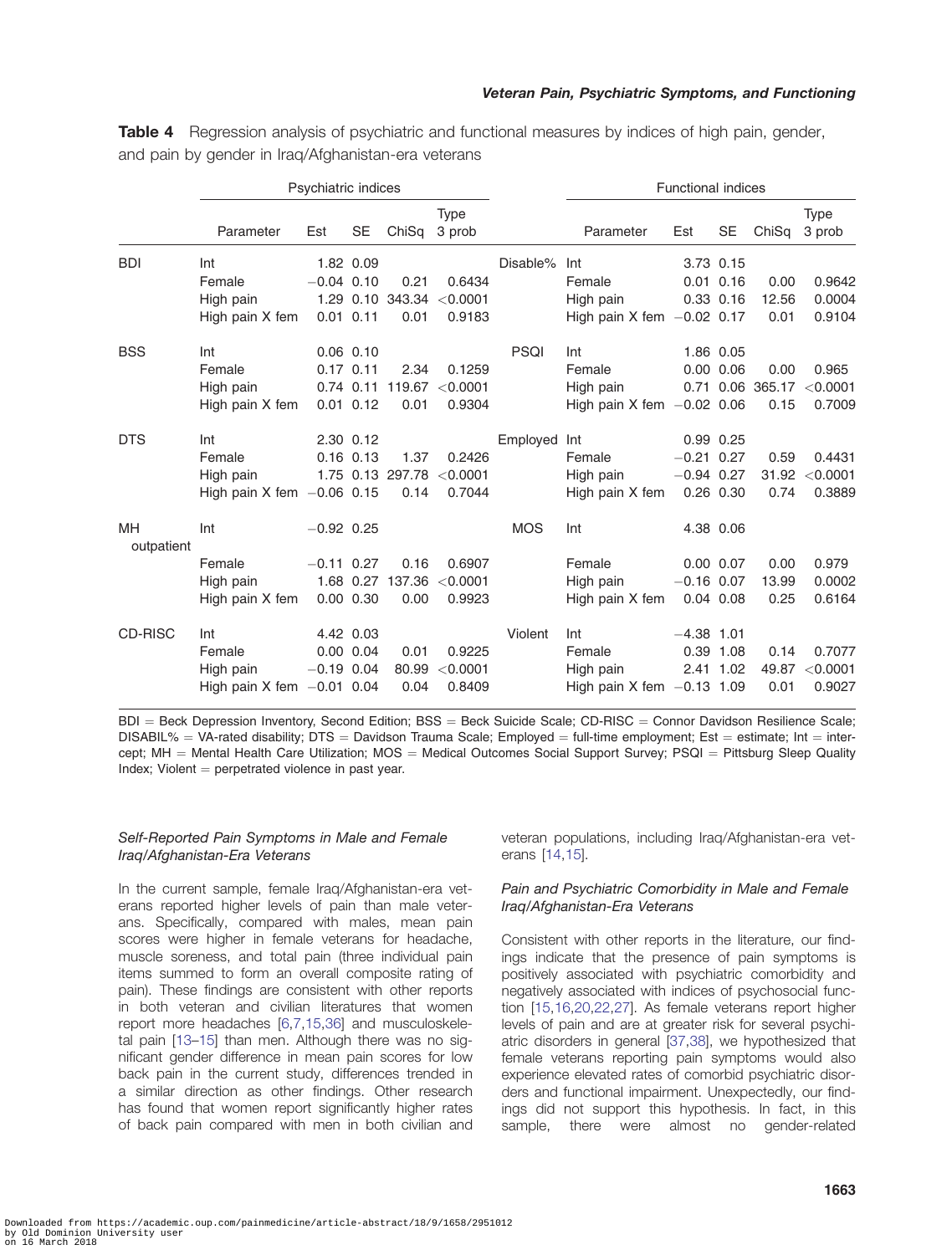|                  |                              | Psychiatric indices |               |                  |                             |              | <b>Functional indices</b>      |              |               |       |                             |
|------------------|------------------------------|---------------------|---------------|------------------|-----------------------------|--------------|--------------------------------|--------------|---------------|-------|-----------------------------|
|                  | Parameter                    | Est                 | <b>SE</b>     | ChiSq            | Type<br>3 prob              |              | Parameter                      | Est          | <b>SE</b>     | ChiSa | <b>Type</b><br>3 prob       |
| <b>BDI</b>       | Int                          |                     | 1.82 0.09     |                  |                             | Disable%     | Int                            |              | 3.73 0.15     |       |                             |
|                  | Female                       | $-0.04$ 0.10        |               | 0.21             | 0.6434                      |              | Female                         |              | $0.01$ $0.16$ | 0.00  | 0.9642                      |
|                  | High pain                    |                     |               |                  | 1.29 $0.10$ 343.34 < 0.0001 |              | High pain                      |              | $0.33$ $0.16$ | 12.56 | 0.0004                      |
|                  | High pain X fem              |                     | $0.01$ $0.11$ | 0.01             | 0.9183                      |              | High pain $X$ fem $-0.02$ 0.17 |              |               | 0.01  | 0.9104                      |
| <b>BSS</b>       | Int                          |                     | $0.06$ $0.10$ |                  |                             | <b>PSQI</b>  | Int                            |              | 1.86 0.05     |       |                             |
|                  | Female                       |                     | $0.17$ $0.11$ | 2.34             | 0.1259                      |              | Female                         |              | $0.00$ $0.06$ | 0.00  | 0.965                       |
|                  | High pain                    |                     |               |                  | $0.74$ 0.11 119.67 < 0.0001 |              | High pain                      |              |               |       | $0.71$ 0.06 365.17 < 0.0001 |
|                  | High pain X fem              |                     | $0.01$ $0.12$ | 0.01             | 0.9304                      |              | High pain X fem $-0.02$ 0.06   |              |               | 0.15  | 0.7009                      |
| <b>DTS</b>       | Int                          |                     | 2.30 0.12     |                  |                             | Employed Int |                                |              | 0.99 0.25     |       |                             |
|                  | Female                       |                     | $0.16$ $0.13$ | 1.37             | 0.2426                      |              | Female                         | $-0.21$ 0.27 |               | 0.59  | 0.4431                      |
|                  | High pain                    |                     |               |                  | 1.75 0.13 297.78 < 0.0001   |              | High pain                      | $-0.94$ 0.27 |               |       | 31.92 < 0.0001              |
|                  | High pain X fem $-0.06$ 0.15 |                     |               | 0.14             | 0.7044                      |              | High pain X fem                |              | 0.26 0.30     | 0.74  | 0.3889                      |
| MН<br>outpatient | Int                          | $-0.92$ 0.25        |               |                  |                             | <b>MOS</b>   | Int                            |              | 4.38 0.06     |       |                             |
|                  | Female                       | $-0.11$ 0.27        |               | 0.16             | 0.6907                      |              | Female                         |              | $0.00\ 0.07$  | 0.00  | 0.979                       |
|                  | High pain                    |                     |               | 1.68 0.27 137.36 | < 0.0001                    |              | High pain                      | $-0.16$ 0.07 |               | 13.99 | 0.0002                      |
|                  | High pain X fem              |                     | $0.00$ $0.30$ | 0.00             | 0.9923                      |              | High pain X fem                |              | $0.04$ 0.08   | 0.25  | 0.6164                      |
| CD-RISC          | Int                          |                     | 4.42 0.03     |                  |                             | Violent      | Int                            | $-4.38$ 1.01 |               |       |                             |
|                  | Female                       |                     | $0.00$ $0.04$ | 0.01             | 0.9225                      |              | Female                         |              | 0.39 1.08     | 0.14  | 0.7077                      |
|                  | High pain                    | $-0.19$ 0.04        |               | 80.99            | < 0.0001                    |              | High pain                      |              | 2.41 1.02     | 49.87 | < 0.0001                    |
|                  | High pain X fem $-0.01$ 0.04 |                     |               | 0.04             | 0.8409                      |              | High pain X fem $-0.13$ 1.09   |              |               | 0.01  | 0.9027                      |

<span id="page-7-0"></span>**Table 4** Regression analysis of psychiatric and functional measures by indices of high pain, gender, and pain by gender in Iraq/Afghanistan-era veterans

 $BDI = Beck$  Depression Inventory, Second Edition; BSS = Beck Suicide Scale; CD-RISC = Connor Davidson Resilience Scale; DISABIL% = VA-rated disability; DTS = Davidson Trauma Scale; Employed = full-time employment; Est = estimate; Int = intercept; MH = Mental Health Care Utilization; MOS = Medical Outcomes Social Support Survey; PSQI = Pittsburg Sleep Quality Index; Violent  $=$  perpetrated violence in past year.

#### Self-Reported Pain Symptoms in Male and Female Iraq/Afghanistan-Era Veterans

In the current sample, female Iraq/Afghanistan-era veterans reported higher levels of pain than male veterans. Specifically, compared with males, mean pain scores were higher in female veterans for headache, muscle soreness, and total pain (three individual pain items summed to form an overall composite rating of pain). These findings are consistent with other reports in both veteran and civilian literatures that women report more headaches [[6](#page-9-0),[7,15](#page-9-0),[36\]](#page-10-0) and musculoskeletal pain [[13–15\]](#page-9-0) than men. Although there was no significant gender difference in mean pain scores for low back pain in the current study, differences trended in a similar direction as other findings. Other research has found that women report significantly higher rates of back pain compared with men in both civilian and

veteran populations, including Iraq/Afghanistan-era veterans [\[14](#page-9-0),[15\]](#page-9-0).

#### Pain and Psychiatric Comorbidity in Male and Female Iraq/Afghanistan-Era Veterans

Consistent with other reports in the literature, our findings indicate that the presence of pain symptoms is positively associated with psychiatric comorbidity and negatively associated with indices of psychosocial function [\[15](#page-9-0),[16,20](#page-9-0),[22,27](#page-10-0)]. As female veterans report higher levels of pain and are at greater risk for several psychiatric disorders in general [[37,38](#page-10-0)], we hypothesized that female veterans reporting pain symptoms would also experience elevated rates of comorbid psychiatric disorders and functional impairment. Unexpectedly, our findings did not support this hypothesis. In fact, in this sample, there were almost no gender-related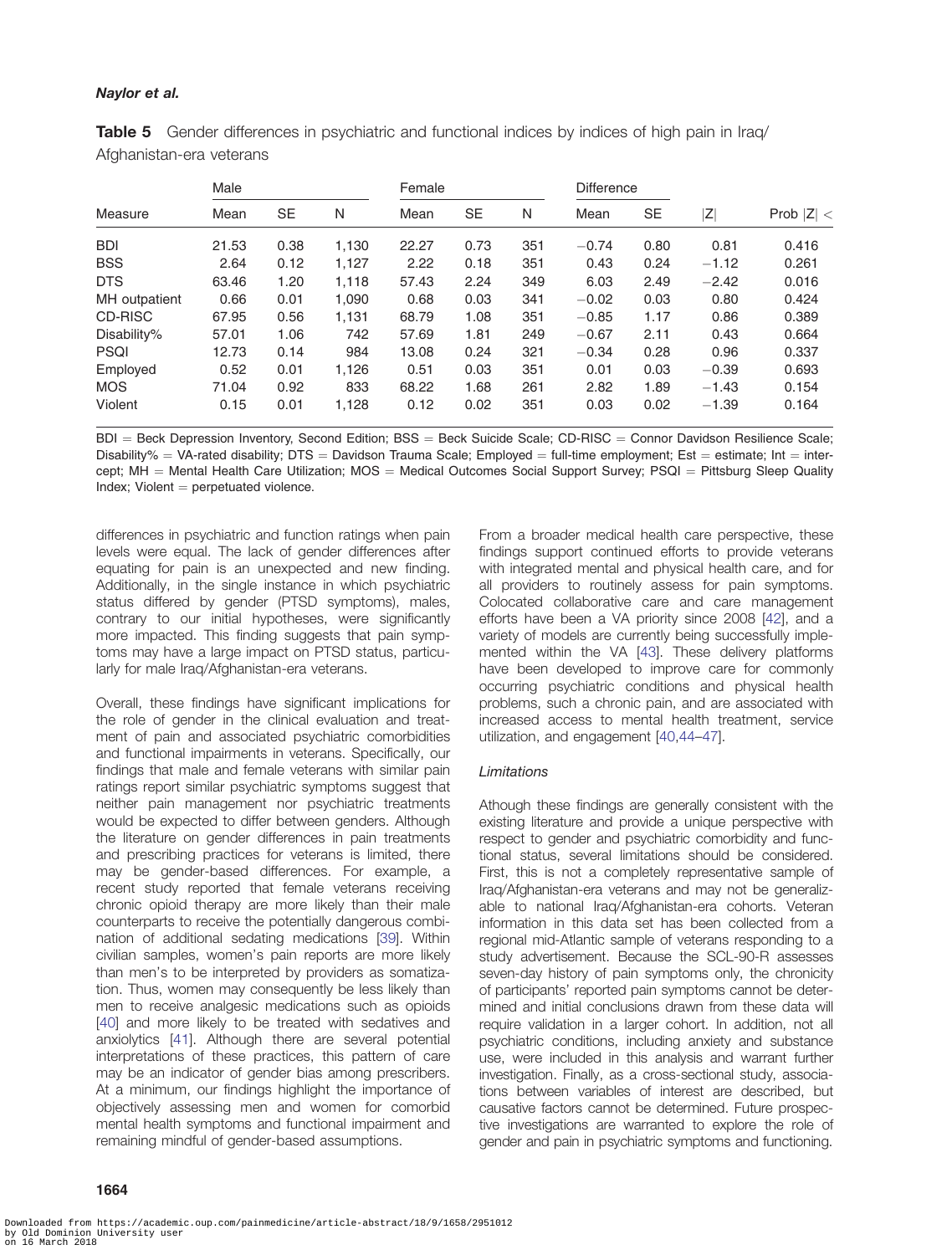|               | Male  |      |       | Female |           |     | <b>Difference</b> |           |         |              |
|---------------|-------|------|-------|--------|-----------|-----|-------------------|-----------|---------|--------------|
| Measure       | Mean  | SE   | N     | Mean   | <b>SE</b> | N   | Mean              | <b>SE</b> | Z       | Prob $ Z $ < |
| <b>BDI</b>    | 21.53 | 0.38 | 1,130 | 22.27  | 0.73      | 351 | $-0.74$           | 0.80      | 0.81    | 0.416        |
| <b>BSS</b>    | 2.64  | 0.12 | 1,127 | 2.22   | 0.18      | 351 | 0.43              | 0.24      | $-1.12$ | 0.261        |
| <b>DTS</b>    | 63.46 | 1.20 | 1.118 | 57.43  | 2.24      | 349 | 6.03              | 2.49      | $-2.42$ | 0.016        |
| MH outpatient | 0.66  | 0.01 | 1,090 | 0.68   | 0.03      | 341 | $-0.02$           | 0.03      | 0.80    | 0.424        |
| CD-RISC       | 67.95 | 0.56 | 1,131 | 68.79  | 1.08      | 351 | $-0.85$           | 1.17      | 0.86    | 0.389        |
| Disability%   | 57.01 | 1.06 | 742   | 57.69  | 1.81      | 249 | $-0.67$           | 2.11      | 0.43    | 0.664        |
| <b>PSQI</b>   | 12.73 | 0.14 | 984   | 13.08  | 0.24      | 321 | $-0.34$           | 0.28      | 0.96    | 0.337        |
| Employed      | 0.52  | 0.01 | 1,126 | 0.51   | 0.03      | 351 | 0.01              | 0.03      | $-0.39$ | 0.693        |
| <b>MOS</b>    | 71.04 | 0.92 | 833   | 68.22  | 1.68      | 261 | 2.82              | 1.89      | $-1.43$ | 0.154        |
| Violent       | 0.15  | 0.01 | 1,128 | 0.12   | 0.02      | 351 | 0.03              | 0.02      | $-1.39$ | 0.164        |

<span id="page-8-0"></span>**Table 5** Gender differences in psychiatric and functional indices by indices of high pain in Irag/ Afghanistan-era veterans

 $BDI = Beck$  Depression Inventory, Second Edition; BSS = Beck Suicide Scale; CD-RISC = Connor Davidson Resilience Scale; Disability% = VA-rated disability; DTS = Davidson Trauma Scale; Employed = full-time employment; Est = estimate; Int = intercept; MH  $=$  Mental Health Care Utilization; MOS  $=$  Medical Outcomes Social Support Survey; PSQI  $=$  Pittsburg Sleep Quality  $Index$ ; Violent  $=$  perpetuated violence.

differences in psychiatric and function ratings when pain levels were equal. The lack of gender differences after equating for pain is an unexpected and new finding. Additionally, in the single instance in which psychiatric status differed by gender (PTSD symptoms), males, contrary to our initial hypotheses, were significantly more impacted. This finding suggests that pain symptoms may have a large impact on PTSD status, particularly for male Iraq/Afghanistan-era veterans.

Overall, these findings have significant implications for the role of gender in the clinical evaluation and treatment of pain and associated psychiatric comorbidities and functional impairments in veterans. Specifically, our findings that male and female veterans with similar pain ratings report similar psychiatric symptoms suggest that neither pain management nor psychiatric treatments would be expected to differ between genders. Although the literature on gender differences in pain treatments and prescribing practices for veterans is limited, there may be gender-based differences. For example, a recent study reported that female veterans receiving chronic opioid therapy are more likely than their male counterparts to receive the potentially dangerous combination of additional sedating medications [\[39](#page-10-0)]. Within civilian samples, women's pain reports are more likely than men's to be interpreted by providers as somatization. Thus, women may consequently be less likely than men to receive analgesic medications such as opioids [\[40](#page-10-0)] and more likely to be treated with sedatives and anxiolytics [\[41](#page-10-0)]. Although there are several potential interpretations of these practices, this pattern of care may be an indicator of gender bias among prescribers. At a minimum, our findings highlight the importance of objectively assessing men and women for comorbid mental health symptoms and functional impairment and remaining mindful of gender-based assumptions.

From a broader medical health care perspective, these findings support continued efforts to provide veterans with integrated mental and physical health care, and for all providers to routinely assess for pain symptoms. Colocated collaborative care and care management efforts have been a VA priority since 2008 [[42\]](#page-10-0), and a variety of models are currently being successfully implemented within the VA [\[43](#page-10-0)]. These delivery platforms have been developed to improve care for commonly occurring psychiatric conditions and physical health problems, such a chronic pain, and are associated with increased access to mental health treatment, service utilization, and engagement [\[40](#page-10-0),[44–](#page-10-0)[47](#page-11-0)].

#### Limitations

Athough these findings are generally consistent with the existing literature and provide a unique perspective with respect to gender and psychiatric comorbidity and functional status, several limitations should be considered. First, this is not a completely representative sample of Iraq/Afghanistan-era veterans and may not be generalizable to national Iraq/Afghanistan-era cohorts. Veteran information in this data set has been collected from a regional mid-Atlantic sample of veterans responding to a study advertisement. Because the SCL-90-R assesses seven-day history of pain symptoms only, the chronicity of participants' reported pain symptoms cannot be determined and initial conclusions drawn from these data will require validation in a larger cohort. In addition, not all psychiatric conditions, including anxiety and substance use, were included in this analysis and warrant further investigation. Finally, as a cross-sectional study, associations between variables of interest are described, but causative factors cannot be determined. Future prospective investigations are warranted to explore the role of gender and pain in psychiatric symptoms and functioning.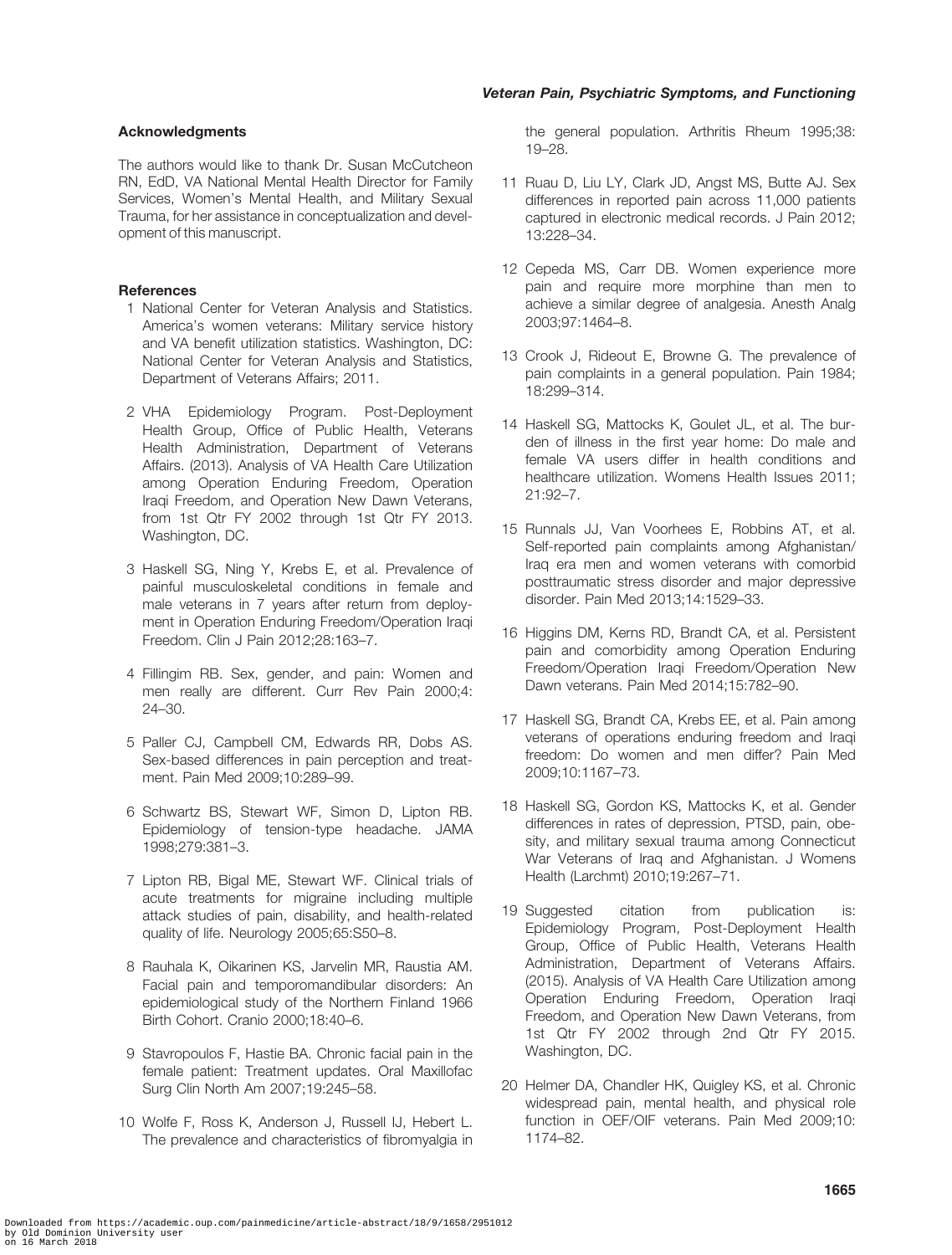#### <span id="page-9-0"></span>Acknowledgments

The authors would like to thank Dr. Susan McCutcheon RN, EdD, VA National Mental Health Director for Family Services, Women's Mental Health, and Military Sexual Trauma, for her assistance in conceptualization and development of this manuscript.

#### References

- 1 National Center for Veteran Analysis and Statistics. America's women veterans: Military service history and VA benefit utilization statistics. Washington, DC: National Center for Veteran Analysis and Statistics, Department of Veterans Affairs; 2011.
- 2 VHA Epidemiology Program. Post-Deployment Health Group, Office of Public Health, Veterans Health Administration, Department of Veterans Affairs. (2013). Analysis of VA Health Care Utilization among Operation Enduring Freedom, Operation Iraqi Freedom, and Operation New Dawn Veterans, from 1st Qtr FY 2002 through 1st Qtr FY 2013. Washington, DC.
- 3 Haskell SG, Ning Y, Krebs E, et al. Prevalence of painful musculoskeletal conditions in female and male veterans in 7 years after return from deployment in Operation Enduring Freedom/Operation Iraqi Freedom. Clin J Pain 2012;28:163–7.
- 4 Fillingim RB. Sex, gender, and pain: Women and men really are different. Curr Rev Pain 2000;4: 24–30.
- 5 Paller CJ, Campbell CM, Edwards RR, Dobs AS. Sex-based differences in pain perception and treatment. Pain Med 2009;10:289–99.
- 6 Schwartz BS, Stewart WF, Simon D, Lipton RB. Epidemiology of tension-type headache. JAMA 1998;279:381–3.
- 7 Lipton RB, Bigal ME, Stewart WF. Clinical trials of acute treatments for migraine including multiple attack studies of pain, disability, and health-related quality of life. Neurology 2005;65:S50–8.
- 8 Rauhala K, Oikarinen KS, Jarvelin MR, Raustia AM. Facial pain and temporomandibular disorders: An epidemiological study of the Northern Finland 1966 Birth Cohort. Cranio 2000;18:40–6.
- 9 Stavropoulos F, Hastie BA. Chronic facial pain in the female patient: Treatment updates. Oral Maxillofac Surg Clin North Am 2007;19:245–58.
- 10 Wolfe F, Ross K, Anderson J, Russell IJ, Hebert L. The prevalence and characteristics of fibromyalgia in

#### Veteran Pain, Psychiatric Symptoms, and Functioning

the general population. Arthritis Rheum 1995;38: 19–28.

- 11 Ruau D, Liu LY, Clark JD, Angst MS, Butte AJ. Sex differences in reported pain across 11,000 patients captured in electronic medical records. J Pain 2012; 13:228–34.
- 12 Cepeda MS, Carr DB. Women experience more pain and require more morphine than men to achieve a similar degree of analgesia. Anesth Analg 2003;97:1464–8.
- 13 Crook J, Rideout E, Browne G. The prevalence of pain complaints in a general population. Pain 1984; 18:299–314.
- 14 Haskell SG, Mattocks K, Goulet JL, et al. The burden of illness in the first year home: Do male and female VA users differ in health conditions and healthcare utilization. Womens Health Issues 2011; 21:92–7.
- 15 Runnals JJ, Van Voorhees E, Robbins AT, et al. Self-reported pain complaints among Afghanistan/ Iraq era men and women veterans with comorbid posttraumatic stress disorder and major depressive disorder. Pain Med 2013;14:1529–33.
- 16 Higgins DM, Kerns RD, Brandt CA, et al. Persistent pain and comorbidity among Operation Enduring Freedom/Operation Iraqi Freedom/Operation New Dawn veterans. Pain Med 2014;15:782–90.
- 17 Haskell SG, Brandt CA, Krebs EE, et al. Pain among veterans of operations enduring freedom and Iraqi freedom: Do women and men differ? Pain Med 2009;10:1167–73.
- 18 Haskell SG, Gordon KS, Mattocks K, et al. Gender differences in rates of depression, PTSD, pain, obesity, and military sexual trauma among Connecticut War Veterans of Iraq and Afghanistan. J Womens Health (Larchmt) 2010;19:267–71.
- 19 Suggested citation from publication is: Epidemiology Program, Post-Deployment Health Group, Office of Public Health, Veterans Health Administration, Department of Veterans Affairs. (2015). Analysis of VA Health Care Utilization among Operation Enduring Freedom, Operation Iraqi Freedom, and Operation New Dawn Veterans, from 1st Qtr FY 2002 through 2nd Qtr FY 2015. Washington, DC.
- 20 Helmer DA, Chandler HK, Quigley KS, et al. Chronic widespread pain, mental health, and physical role function in OEF/OIF veterans. Pain Med 2009;10: 1174–82.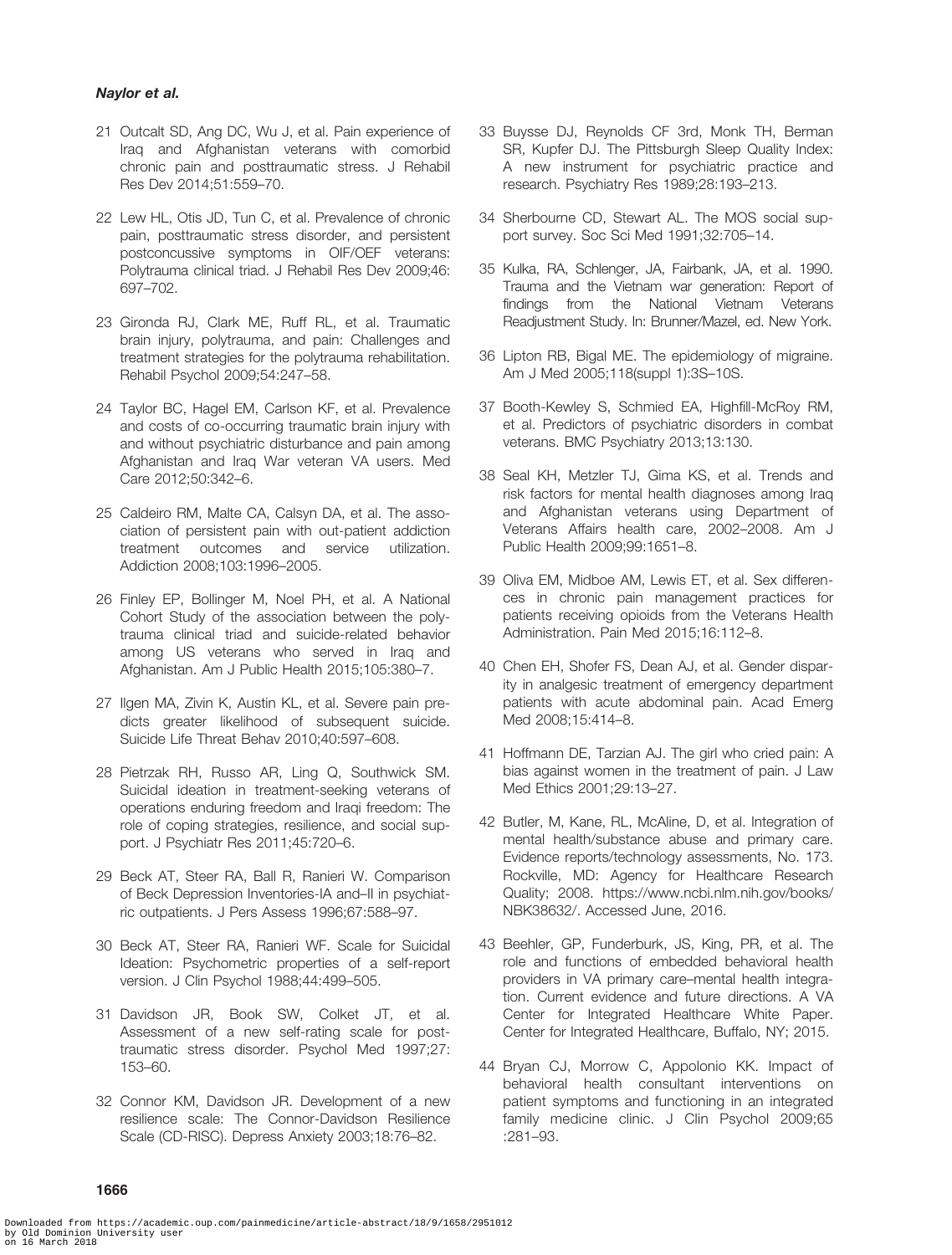- <span id="page-10-0"></span>21 Outcalt SD, Ang DC, Wu J, et al. Pain experience of Iraq and Afghanistan veterans with comorbid chronic pain and posttraumatic stress. J Rehabil Res Dev 2014;51:559–70.
- 22 Lew HL, Otis JD, Tun C, et al. Prevalence of chronic pain, posttraumatic stress disorder, and persistent postconcussive symptoms in OIF/OEF veterans: Polytrauma clinical triad. J Rehabil Res Dev 2009;46: 697–702.
- 23 Gironda RJ, Clark ME, Ruff RL, et al. Traumatic brain injury, polytrauma, and pain: Challenges and treatment strategies for the polytrauma rehabilitation. Rehabil Psychol 2009;54:247–58.
- 24 Taylor BC, Hagel EM, Carlson KF, et al. Prevalence and costs of co-occurring traumatic brain injury with and without psychiatric disturbance and pain among Afghanistan and Iraq War veteran VA users. Med Care 2012;50:342–6.
- 25 Caldeiro RM, Malte CA, Calsyn DA, et al. The association of persistent pain with out-patient addiction treatment outcomes and service utilization. Addiction 2008;103:1996–2005.
- 26 Finley EP, Bollinger M, Noel PH, et al. A National Cohort Study of the association between the polytrauma clinical triad and suicide-related behavior among US veterans who served in Iraq and Afghanistan. Am J Public Health 2015;105:380–7.
- 27 Ilgen MA, Zivin K, Austin KL, et al. Severe pain predicts greater likelihood of subsequent suicide. Suicide Life Threat Behav 2010;40:597–608.
- 28 Pietrzak RH, Russo AR, Ling Q, Southwick SM. Suicidal ideation in treatment-seeking veterans of operations enduring freedom and Iraqi freedom: The role of coping strategies, resilience, and social support. J Psychiatr Res 2011;45:720–6.
- 29 Beck AT, Steer RA, Ball R, Ranieri W. Comparison of Beck Depression Inventories-IA and–II in psychiatric outpatients. J Pers Assess 1996;67:588–97.
- 30 Beck AT, Steer RA, Ranieri WF. Scale for Suicidal Ideation: Psychometric properties of a self-report version. J Clin Psychol 1988;44:499–505.
- 31 Davidson JR, Book SW, Colket JT, et al. Assessment of a new self-rating scale for posttraumatic stress disorder. Psychol Med 1997;27: 153–60.
- 32 Connor KM, Davidson JR. Development of a new resilience scale: The Connor-Davidson Resilience Scale (CD-RISC). Depress Anxiety 2003;18:76–82.
- 33 Buysse DJ, Reynolds CF 3rd, Monk TH, Berman SR, Kupfer DJ. The Pittsburgh Sleep Quality Index: A new instrument for psychiatric practice and research. Psychiatry Res 1989;28:193–213.
- 34 Sherbourne CD, Stewart AL. The MOS social support survey. Soc Sci Med 1991;32:705–14.
- 35 Kulka, RA, Schlenger, JA, Fairbank, JA, et al. 1990. Trauma and the Vietnam war generation: Report of findings from the National Vietnam Veterans Readjustment Study. In: Brunner/Mazel, ed. New York.
- 36 Lipton RB, Bigal ME. The epidemiology of migraine. Am J Med 2005;118(suppl 1):3S–10S.
- 37 Booth-Kewley S, Schmied EA, Highfill-McRoy RM, et al. Predictors of psychiatric disorders in combat veterans. BMC Psychiatry 2013;13:130.
- 38 Seal KH, Metzler TJ, Gima KS, et al. Trends and risk factors for mental health diagnoses among Iraq and Afghanistan veterans using Department of Veterans Affairs health care, 2002–2008. Am J Public Health 2009;99:1651–8.
- 39 Oliva EM, Midboe AM, Lewis ET, et al. Sex differences in chronic pain management practices for patients receiving opioids from the Veterans Health Administration. Pain Med 2015;16:112–8.
- 40 Chen EH, Shofer FS, Dean AJ, et al. Gender disparity in analgesic treatment of emergency department patients with acute abdominal pain. Acad Emerg Med 2008;15:414–8.
- 41 Hoffmann DE, Tarzian AJ. The girl who cried pain: A bias against women in the treatment of pain. J Law Med Ethics 2001;29:13–27.
- 42 Butler, M, Kane, RL, McAline, D, et al. Integration of mental health/substance abuse and primary care. Evidence reports/technology assessments, No. 173. Rockville, MD: Agency for Healthcare Research Quality; 2008. [https://www.ncbi.nlm.nih.gov/books/](https://www.ncbi.nlm.nih.gov/books/NBK38632/) [NBK38632/.](https://www.ncbi.nlm.nih.gov/books/NBK38632/) Accessed June, 2016.
- 43 Beehler, GP, Funderburk, JS, King, PR, et al. The role and functions of embedded behavioral health providers in VA primary care–mental health integration. Current evidence and future directions. A VA Center for Integrated Healthcare White Paper. Center for Integrated Healthcare, Buffalo, NY; 2015.
- 44 Bryan CJ, Morrow C, Appolonio KK. Impact of behavioral health consultant interventions on patient symptoms and functioning in an integrated family medicine clinic. J Clin Psychol 2009;65 :281–93.